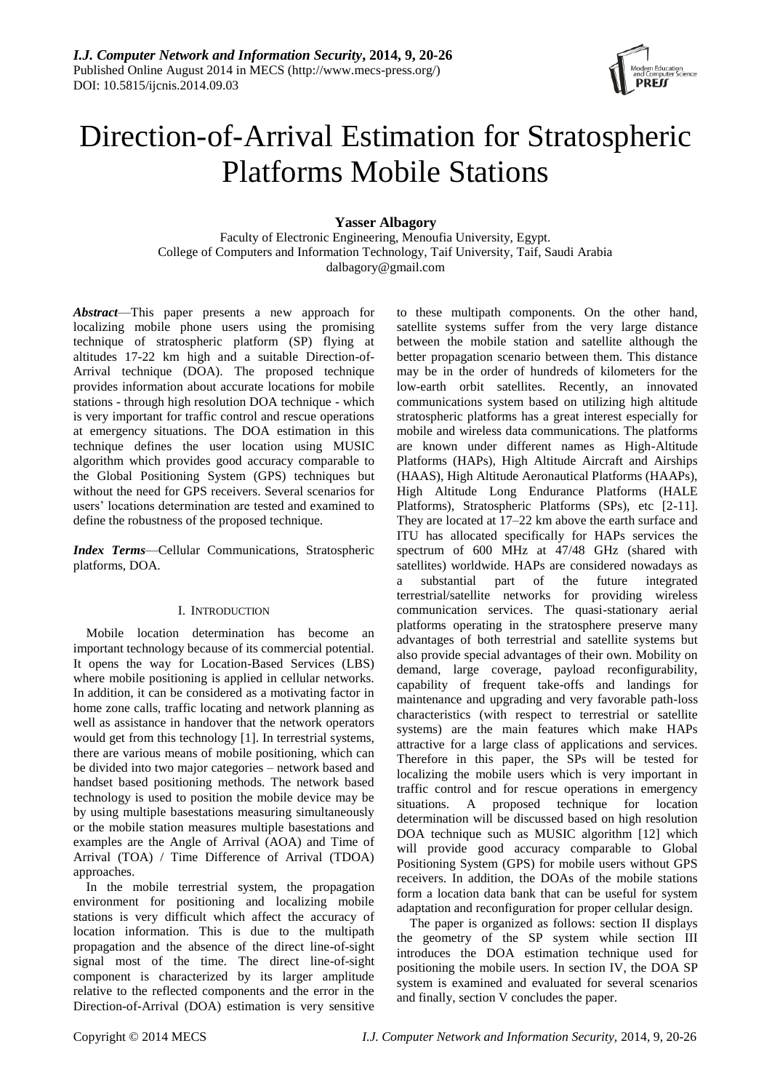

# Direction-of-Arrival Estimation for Stratospheric Platforms Mobile Stations

**Yasser Albagory**

Faculty of Electronic Engineering, Menoufia University, Egypt. College of Computers and Information Technology, Taif University, Taif, Saudi Arabia [dalbagory@gmail.com](mailto:dalbagory@gmail.com)

*Abstract*—This paper presents a new approach for localizing mobile phone users using the promising technique of stratospheric platform (SP) flying at altitudes 17-22 km high and a suitable Direction-of-Arrival technique (DOA). The proposed technique provides information about accurate locations for mobile stations - through high resolution DOA technique - which is very important for traffic control and rescue operations at emergency situations. The DOA estimation in this technique defines the user location using MUSIC algorithm which provides good accuracy comparable to the Global Positioning System (GPS) techniques but without the need for GPS receivers. Several scenarios for users' locations determination are tested and examined to define the robustness of the proposed technique.

*Index Terms*—Cellular Communications, Stratospheric platforms, DOA.

## I. INTRODUCTION

Mobile location determination has become an important technology because of its commercial potential. It opens the way for Location-Based Services (LBS) where mobile positioning is applied in cellular networks. In addition, it can be considered as a motivating factor in home zone calls, traffic locating and network planning as well as assistance in handover that the network operators would get from this technology [1]. In terrestrial systems, there are various means of mobile positioning, which can be divided into two major categories – network based and handset based positioning methods. The network based technology is used to position the mobile device may be by using multiple basestations measuring simultaneously or the mobile station measures multiple basestations and examples are the Angle of Arrival (AOA) and Time of Arrival (TOA) / Time Difference of Arrival (TDOA) approaches.

In the mobile terrestrial system, the propagation environment for positioning and localizing mobile stations is very difficult which affect the accuracy of location information. This is due to the multipath propagation and the absence of the direct line-of-sight signal most of the time. The direct line-of-sight component is characterized by its larger amplitude relative to the reflected components and the error in the Direction-of-Arrival (DOA) estimation is very sensitive to these multipath components. On the other hand, satellite systems suffer from the very large distance between the mobile station and satellite although the better propagation scenario between them. This distance may be in the order of hundreds of kilometers for the low-earth orbit satellites. Recently, an innovated communications system based on utilizing high altitude stratospheric platforms has a great interest especially for mobile and wireless data communications. The platforms are known under different names as High-Altitude Platforms (HAPs), High Altitude Aircraft and Airships (HAAS), High Altitude Aeronautical Platforms (HAAPs), High Altitude Long Endurance Platforms (HALE Platforms), Stratospheric Platforms (SPs), etc [2-11]. They are located at 17–22 km above the earth surface and ITU has allocated specifically for HAPs services the spectrum of 600 MHz at 47/48 GHz (shared with satellites) worldwide. HAPs are considered nowadays as a substantial part of the future integrated terrestrial/satellite networks for providing wireless communication services. The quasi-stationary aerial platforms operating in the stratosphere preserve many advantages of both terrestrial and satellite systems but also provide special advantages of their own. Mobility on demand, large coverage, payload reconfigurability, capability of frequent take-offs and landings for maintenance and upgrading and very favorable path-loss characteristics (with respect to terrestrial or satellite systems) are the main features which make HAPs attractive for a large class of applications and services. Therefore in this paper, the SPs will be tested for localizing the mobile users which is very important in traffic control and for rescue operations in emergency situations. A proposed technique for location determination will be discussed based on high resolution DOA technique such as MUSIC algorithm [12] which will provide good accuracy comparable to Global Positioning System (GPS) for mobile users without GPS receivers. In addition, the DOAs of the mobile stations form a location data bank that can be useful for system adaptation and reconfiguration for proper cellular design.

The paper is organized as follows: section II displays the geometry of the SP system while section III introduces the DOA estimation technique used for positioning the mobile users. In section IV, the DOA SP system is examined and evaluated for several scenarios and finally, section V concludes the paper.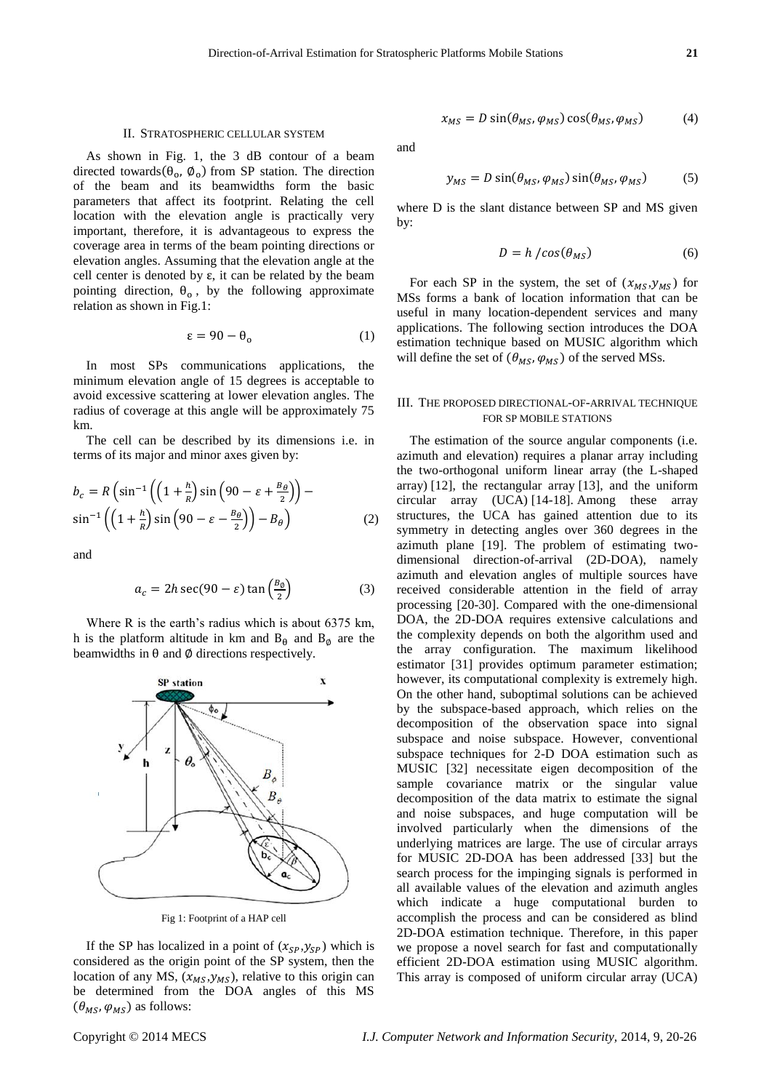## II. STRATOSPHERIC CELLULAR SYSTEM

As shown in Fig. 1, the 3 dB contour of a beam directed towards( $\theta_0$ ,  $\phi_0$ ) from SP station. The direction of the beam and its beamwidths form the basic parameters that affect its footprint. Relating the cell location with the elevation angle is practically very important, therefore, it is advantageous to express the coverage area in terms of the beam pointing directions or elevation angles. Assuming that the elevation angle at the cell center is denoted by  $\varepsilon$ , it can be related by the beam pointing direction,  $\theta_0$ , by the following approximate relation as shown in Fig.1:

$$
\varepsilon = 90 - \theta_0 \tag{1}
$$

In most SPs communications applications, the minimum elevation angle of 15 degrees is acceptable to avoid excessive scattering at lower elevation angles. The radius of coverage at this angle will be approximately 75 km.

The cell can be described by its dimensions i.e. in terms of its major and minor axes given by:

$$
b_c = R \left( \sin^{-1} \left( \left( 1 + \frac{h}{R} \right) \sin \left( 90 - \varepsilon + \frac{B_\theta}{2} \right) \right) - \sin^{-1} \left( \left( 1 + \frac{h}{R} \right) \sin \left( 90 - \varepsilon - \frac{B_\theta}{2} \right) \right) - B_\theta \right)
$$
(2)

and

$$
a_c = 2h\sec(90 - \varepsilon)\tan\left(\frac{B_\theta}{2}\right) \tag{3}
$$

Where R is the earth's radius which is about 6375 km, h is the platform altitude in km and  $B_{\theta}$  and  $B_{\phi}$  are the beamwidths in  $\theta$  and  $\phi$  directions respectively.



Fig 1: Footprint of a HAP cell

If the SP has localized in a point of  $(x_{SP}, y_{SP})$  which is considered as the origin point of the SP system, then the location of any MS,  $(x_{MS}, y_{MS})$ , relative to this origin can be determined from the DOA angles of this MS  $(\theta_{MS}, \varphi_{MS})$  as follows:

$$
x_{MS} = D \sin(\theta_{MS}, \varphi_{MS}) \cos(\theta_{MS}, \varphi_{MS}) \tag{4}
$$

and

$$
y_{MS} = D \sin(\theta_{MS}, \varphi_{MS}) \sin(\theta_{MS}, \varphi_{MS}) \tag{5}
$$

where D is the slant distance between SP and MS given by:

$$
D = h / cos(\theta_{MS})
$$
 (6)

For each SP in the system, the set of  $(x_{MS}, y_{MS})$  for MSs forms a bank of location information that can be useful in many location-dependent services and many applications. The following section introduces the DOA estimation technique based on MUSIC algorithm which will define the set of  $(\theta_{MS}, \varphi_{MS})$  of the served MSs.

## III. THE PROPOSED DIRECTIONAL-OF-ARRIVAL TECHNIQUE FOR SP MOBILE STATIONS

The estimation of the source angular components (i.e. azimuth and elevation) requires a planar array including the two-orthogonal uniform linear array (the L-shaped array) [12], the rectangular array [13], and the uniform circular array (UCA) [14-18]. Among these array structures, the UCA has gained attention due to its symmetry in detecting angles over 360 degrees in the azimuth plane [19]. The problem of estimating twodimensional direction-of-arrival (2D-DOA), namely azimuth and elevation angles of multiple sources have received considerable attention in the field of array processing [20-30]. Compared with the one-dimensional DOA, the 2D-DOA requires extensive calculations and the complexity depends on both the algorithm used and the array configuration. The maximum likelihood estimator [31] provides optimum parameter estimation; however, its computational complexity is extremely high. On the other hand, suboptimal solutions can be achieved by the subspace-based approach, which relies on the decomposition of the observation space into signal subspace and noise subspace. However, conventional subspace techniques for 2-D DOA estimation such as MUSIC [32] necessitate eigen decomposition of the sample covariance matrix or the singular value decomposition of the data matrix to estimate the signal and noise subspaces, and huge computation will be involved particularly when the dimensions of the underlying matrices are large. The use of circular arrays for MUSIC 2D-DOA has been addressed [33] but the search process for the impinging signals is performed in all available values of the elevation and azimuth angles which indicate a huge computational burden to accomplish the process and can be considered as blind 2D-DOA estimation technique. Therefore, in this paper we propose a novel search for fast and computationally efficient 2D-DOA estimation using MUSIC algorithm. This array is composed of uniform circular array (UCA)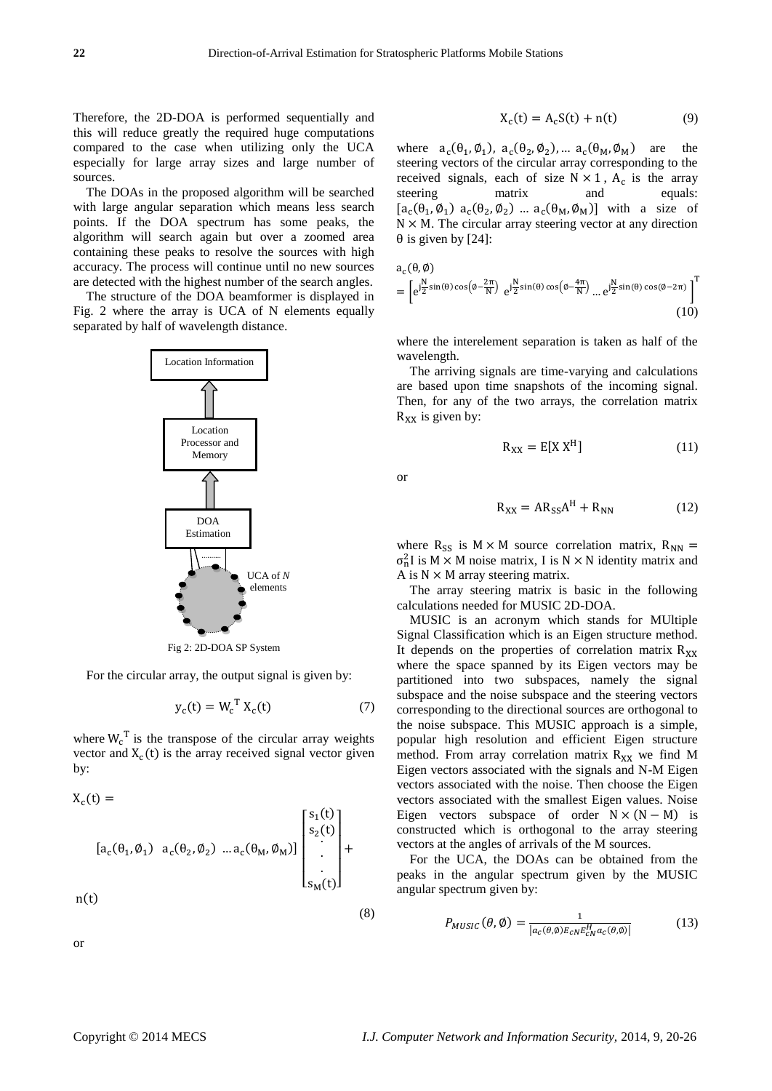Therefore, the 2D-DOA is performed sequentially and this will reduce greatly the required huge computations compared to the case when utilizing only the UCA especially for large array sizes and large number of sources.

The DOAs in the proposed algorithm will be searched with large angular separation which means less search points. If the DOA spectrum has some peaks, the algorithm will search again but over a zoomed area containing these peaks to resolve the sources with high accuracy. The process will continue until no new sources are detected with the highest number of the search angles.

The structure of the DOA beamformer is displayed in Fig. 2 where the array is UCA of N elements equally separated by half of wavelength distance.



Fig 2: 2D-DOA SP System

For the circular array, the output signal is given by:

$$
y_c(t) = W_c^{\mathrm{T}} X_c(t) \tag{7}
$$

where  $W_c^T$  is the transpose of the circular array weights vector and  $X_c(t)$  is the array received signal vector given by:

$$
X_c(t) =
$$
\n
$$
[a_c(\theta_1, \emptyset_1) \ a_c(\theta_2, \emptyset_2) \dots a_c(\theta_M, \emptyset_M)] \begin{bmatrix} s_1(t) \\ s_2(t) \\ \vdots \\ s_M(t) \end{bmatrix} +
$$
\n
$$
n(t)
$$

or

$$
X_c(t) = A_c S(t) + n(t) \tag{9}
$$

where  $a_c(\theta_1, \phi_1)$ ,  $a_c(\theta_2, \phi_2)$ , ...  $a_c(\theta_M, \phi_M)$  are the steering vectors of the circular array corresponding to the received signals, each of size  $N \times 1$ ,  $A_c$  is the array steering matrix and equals:  $[a_c(\theta_1, \phi_1) a_c(\theta_2, \phi_2) \dots a_c(\theta_M, \phi_M)]$  with a size of  $N \times M$ . The circular array steering vector at any direction  $\theta$  is given by [24]:

$$
a_c(\theta, \emptyset)
$$
  
=  $\left[e^{j\frac{N}{2}\sin(\theta)\cos\left(\theta - \frac{2\pi}{N}\right)} e^{j\frac{N}{2}\sin(\theta)\cos\left(\theta - \frac{4\pi}{N}\right)} \dots e^{j\frac{N}{2}\sin(\theta)\cos(\theta - 2\pi)}\right]^T$  (10)

where the interelement separation is taken as half of the wavelength.

The arriving signals are time-varying and calculations are based upon time snapshots of the incoming signal. Then, for any of the two arrays, the correlation matrix  $R_{XX}$  is given by:

$$
R_{XX} = E[X XH] \tag{11}
$$

or

(8)

$$
R_{XX} = AR_{SS}A^H + R_{NN}
$$
 (12)

where  $R_{SS}$  is  $M \times M$  source correlation matrix,  $R_{NN} =$  $\sigma_n^2$ I is M  $\times$  M noise matrix, I is N  $\times$  N identity matrix and A is  $N \times M$  array steering matrix.

The array steering matrix is basic in the following calculations needed for MUSIC 2D-DOA.

MUSIC is an acronym which stands for MUltiple Signal Classification which is an Eigen structure method. It depends on the properties of correlation matrix  $R_{xx}$ where the space spanned by its Eigen vectors may be partitioned into two subspaces, namely the signal subspace and the noise subspace and the steering vectors corresponding to the directional sources are orthogonal to the noise subspace. This MUSIC approach is a simple, popular high resolution and efficient Eigen structure method. From array correlation matrix  $R_{XX}$  we find M Eigen vectors associated with the signals and N-M Eigen vectors associated with the noise. Then choose the Eigen vectors associated with the smallest Eigen values. Noise Eigen vectors subspace of order  $N \times (N - M)$  is constructed which is orthogonal to the array steering vectors at the angles of arrivals of the M sources.

For the UCA, the DOAs can be obtained from the peaks in the angular spectrum given by the MUSIC angular spectrum given by:

$$
P_{MUSIC}(\theta, \emptyset) = \frac{1}{|a_c(\theta, \emptyset)E_{CN}E_{CN}^H a_c(\theta, \emptyset)|}
$$
(13)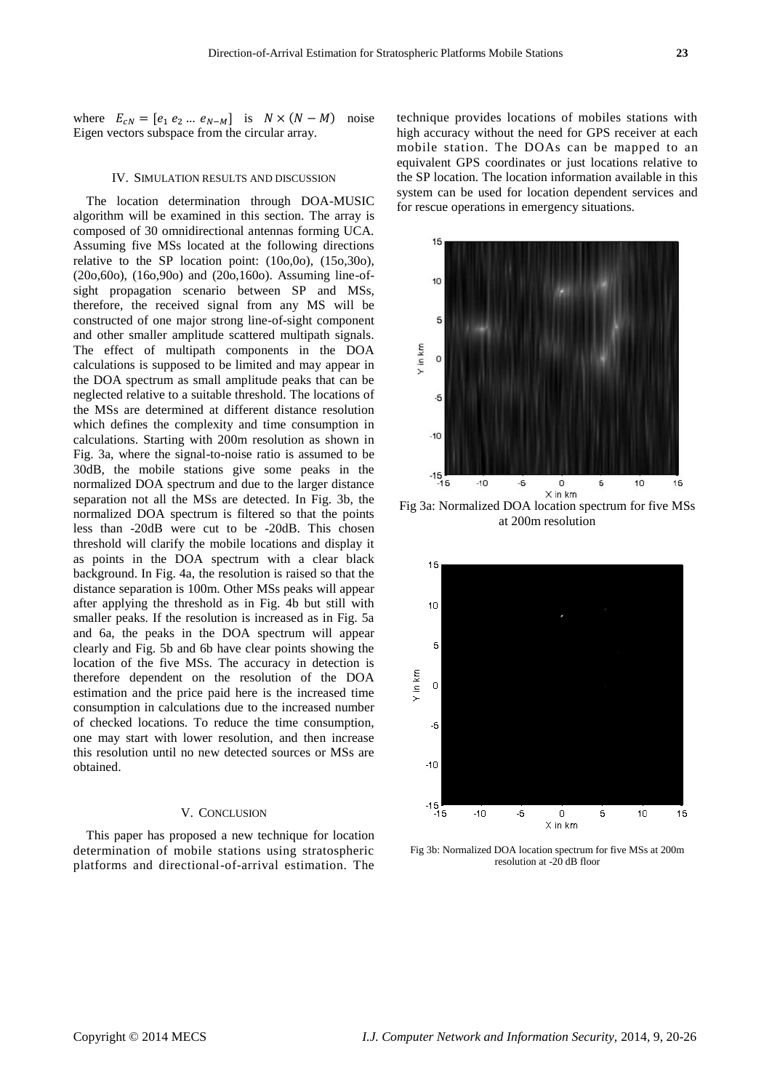where  $E_{cN} = [e_1 e_2 ... e_{N-M}]$  is  $N \times (N - M)$  noise Eigen vectors subspace from the circular array.

### IV. SIMULATION RESULTS AND DISCUSSION

The location determination through DOA-MUSIC algorithm will be examined in this section. The array is composed of 30 omnidirectional antennas forming UCA. Assuming five MSs located at the following directions relative to the SP location point: (10o,0o), (15o,30o), (20o,60o), (16o,90o) and (20o,160o). Assuming line-ofsight propagation scenario between SP and MSs, therefore, the received signal from any MS will be constructed of one major strong line-of-sight component and other smaller amplitude scattered multipath signals. The effect of multipath components in the DOA calculations is supposed to be limited and may appear in the DOA spectrum as small amplitude peaks that can be neglected relative to a suitable threshold. The locations of the MSs are determined at different distance resolution which defines the complexity and time consumption in calculations. Starting with 200m resolution as shown in Fig. 3a, where the signal-to-noise ratio is assumed to be 30dB, the mobile stations give some peaks in the normalized DOA spectrum and due to the larger distance separation not all the MSs are detected. In Fig. 3b, the normalized DOA spectrum is filtered so that the points less than -20dB were cut to be -20dB. This chosen threshold will clarify the mobile locations and display it as points in the DOA spectrum with a clear black background. In Fig. 4a, the resolution is raised so that the distance separation is 100m. Other MSs peaks will appear after applying the threshold as in Fig. 4b but still with smaller peaks. If the resolution is increased as in Fig. 5a and 6a, the peaks in the DOA spectrum will appear clearly and Fig. 5b and 6b have clear points showing the location of the five MSs. The accuracy in detection is therefore dependent on the resolution of the DOA estimation and the price paid here is the increased time consumption in calculations due to the increased number of checked locations. To reduce the time consumption, one may start with lower resolution, and then increase this resolution until no new detected sources or MSs are obtained.

### V. CONCLUSION

This paper has proposed a new technique for location determination of mobile stations using stratospheric platforms and directional-of-arrival estimation. The

technique provides locations of mobiles stations with high accuracy without the need for GPS receiver at each mobile station. The DOAs can be mapped to an equivalent GPS coordinates or just locations relative to the SP location. The location information available in this system can be used for location dependent services and for rescue operations in emergency situations.



Fig 3a: Normalized DOA location spectrum for five MSs at 200m resolution



Fig 3b: Normalized DOA location spectrum for five MSs at 200m resolution at -20 dB floor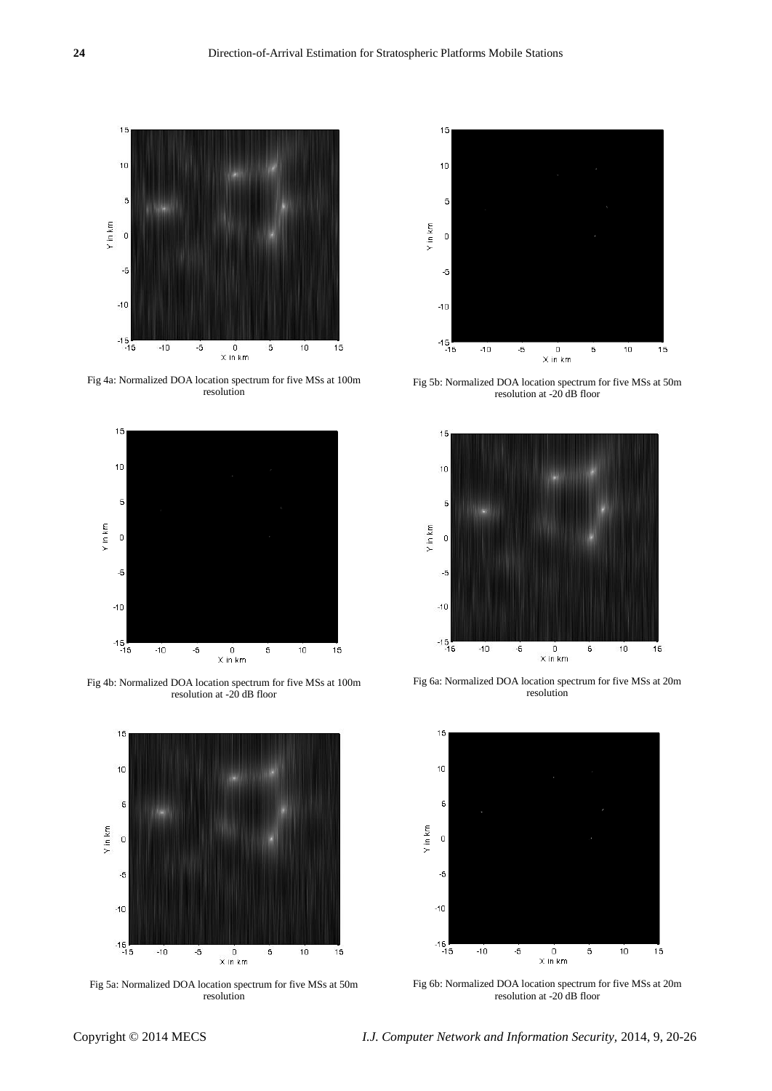

Fig 4a: Normalized DOA location spectrum for five MSs at 100m resolution



Fig 4b: Normalized DOA location spectrum for five MSs at 100m resolution at  $-20$  dB floor



Fig 5a: Normalized DOA location spectrum for five MSs at 50m resolution



Fig 5b: Normalized DOA location spectrum for five MSs at 50m resolution at -20 dB floor



Fig 6a: Normalized DOA location spectrum for five MSs at 20m resolution



Fig 6b: Normalized DOA location spectrum for five MSs at 20m resolution at -20 dB floor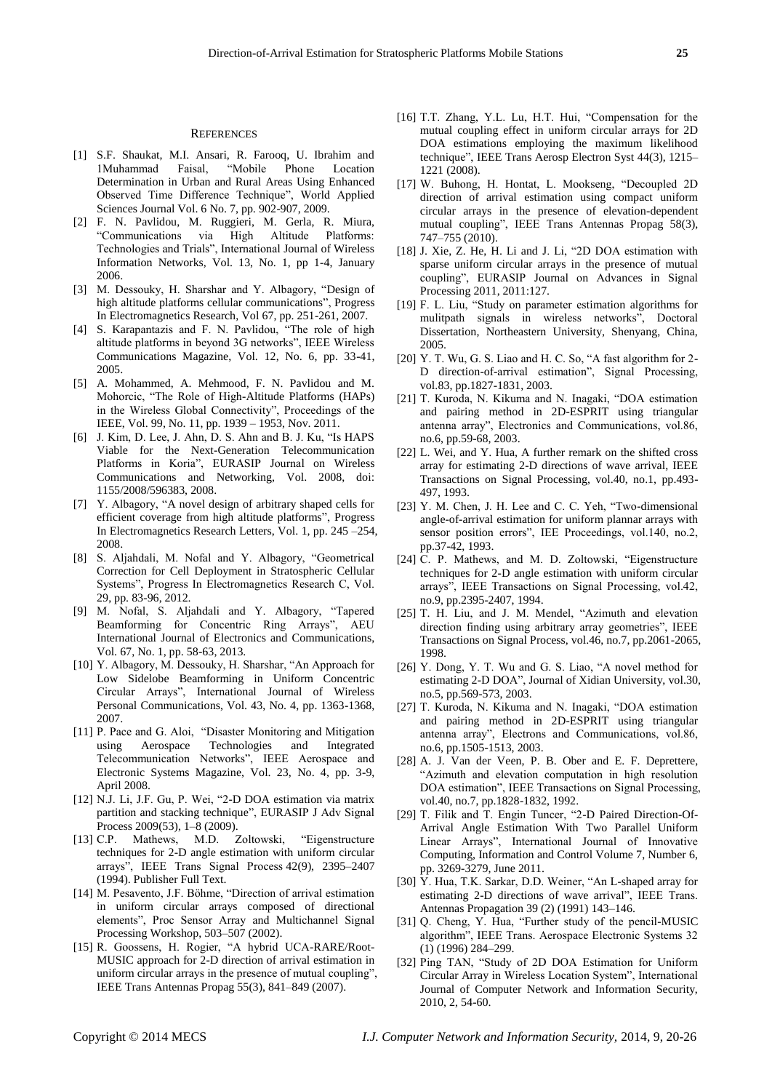- [1] S.F. Shaukat, M.I. Ansari, R. Farooq, U. Ibrahim and 1Muhammad Faisal, "Mobile Phone Location Determination in Urban and Rural Areas Using Enhanced Observed Time Difference Technique", World Applied Sciences Journal Vol. 6 No. 7, pp. 902-907, 2009.
- [2] F. N. Pavlidou, M. Ruggieri, M. Gerla, R. Miura, "Communications via High Technologies and Trials", International Journal of Wireless Information Networks, Vol. 13, No. 1, pp 1-4, January 2006.
- [3] M. Dessouky, H. Sharshar and Y. Albagory, "Design of high altitude platforms cellular communications", Progress In Electromagnetics Research, Vol 67, pp. 251-261, 2007.
- [4] S. Karapantazis and F. N. Pavlidou, "The role of high altitude platforms in beyond 3G networks", IEEE Wireless Communications Magazine, Vol. 12, No. 6, pp. 33-41, 2005.
- [5] A. Mohammed, A. Mehmood, F. N. Pavlidou and M. Mohorcic, "The Role of High-Altitude Platforms (HAPs) in the Wireless Global Connectivity", Proceedings of the IEEE, Vol. 99, No. 11, pp. 1939 – 1953, Nov. 2011.
- [6] J. Kim, D. Lee, J. Ahn, D. S. Ahn and B. J. Ku, "Is HAPS Viable for the Next-Generation Telecommunication Platforms in Koria", EURASIP Journal on Wireless Communications and Networking, Vol. 2008, doi: 1155/2008/596383, 2008.
- [7] Y. Albagory, "A novel design of arbitrary shaped cells for efficient coverage from high altitude platforms", Progress In Electromagnetics Research Letters, Vol. 1, pp. 245 –254, 2008.
- [8] S. Aljahdali, M. Nofal and Y. Albagory, "Geometrical Correction for Cell Deployment in Stratospheric Cellular Systems", Progress In Electromagnetics Research C, Vol. 29, pp. 83-96, 2012.
- [9] M. Nofal, S. Aljahdali and Y. Albagory, "Tapered Beamforming for Concentric Ring Arrays", AEU International Journal of Electronics and Communications, Vol. 67, No. 1, pp. 58-63, 2013.
- [10] Y. Albagory, M. Dessouky, H. Sharshar, "An Approach for Low Sidelobe Beamforming in Uniform Concentric Circular Arrays", International Journal of Wireless Personal Communications, Vol. 43, No. 4, pp. 1363-1368, 2007.
- [11] P. Pace and G. Aloi, "Disaster Monitoring and Mitigation using Aerospace Technologies and Integrated Telecommunication Networks", IEEE Aerospace and Electronic Systems Magazine, Vol. 23, No. 4, pp. 3-9, April 2008.
- [12] N.J. Li, J.F. Gu, P. Wei, "2-D DOA estimation via matrix partition and stacking technique", EURASIP J Adv Signal Process 2009(53), 1–8 (2009).
- [13] C.P. Mathews, M.D. Zoltowski, "Eigenstructure techniques for 2-D angle estimation with uniform circular arrays", IEEE Trans Signal Process 42(9), 2395-2407 (1994). [Publisher](http://dx.doi.org/10.1109/78.317861) Full Text.
- [14] M. Pesavento, J.F. Böhme, "Direction of arrival estimation in uniform circular arrays composed of directional elements‖, Proc Sensor Array and Multichannel Signal Processing Workshop, 503–507 (2002).
- [15] R. Goossens, H. Rogier, "A hybrid UCA-RARE/Root-MUSIC approach for 2-D direction of arrival estimation in uniform circular arrays in the presence of mutual coupling", IEEE Trans Antennas Propag 55(3), 841–849 (2007).
- [16] T.T. Zhang, Y.L. Lu, H.T. Hui, "Compensation for the mutual coupling effect in uniform circular arrays for 2D DOA estimations employing the maximum likelihood technique", IEEE Trans Aerosp Electron Syst 44(3), 1215– 1221 (2008).
- [17] W. Buhong, H. Hontat, L. Mookseng, "Decoupled 2D direction of arrival estimation using compact uniform circular arrays in the presence of elevation-dependent mutual coupling", IEEE Trans Antennas Propag 58(3), 747–755 (2010).
- [18] J. Xie, Z. He, H. Li and J. Li, "2D DOA estimation with sparse uniform circular arrays in the presence of mutual coupling", EURASIP Journal on Advances in Signal Processing 2011, 2011:127.
- [19] F. L. Liu, "Study on parameter estimation algorithms for mulitpath signals in wireless networks", Doctoral Dissertation, Northeastern University, Shenyang, China, 2005.
- $[20]$  Y. T. Wu, G. S. Liao and H. C. So, "A fast algorithm for 2-D direction-of-arrival estimation", Signal Processing, vol.83, pp.1827-1831, 2003.
- [21] T. Kuroda, N. Kikuma and N. Inagaki, "DOA estimation and pairing method in 2D-ESPRIT using triangular antenna array", Electronics and Communications, vol.86, no.6, pp.59-68, 2003.
- [22] L. Wei, and Y. Hua, A further remark on the shifted cross array for estimating 2-D directions of wave arrival, IEEE Transactions on Signal Processing, vol.40, no.1, pp.493- 497, 1993.
- [23] Y. M. Chen, J. H. Lee and C. C. Yeh, "Two-dimensional angle-of-arrival estimation for uniform plannar arrays with sensor position errors", IEE Proceedings, vol.140, no.2, pp.37-42, 1993.
- [24] C. P. Mathews, and M. D. Zoltowski, "Eigenstructure techniques for 2-D angle estimation with uniform circular arrays", IEEE Transactions on Signal Processing, vol.42, no.9, pp.2395-2407, 1994.
- [25] T. H. Liu, and J. M. Mendel, "Azimuth and elevation direction finding using arbitrary array geometries", IEEE Transactions on Signal Process, vol.46, no.7, pp.2061-2065, 1998.
- [26] Y. Dong, Y. T. Wu and G. S. Liao, "A novel method for estimating 2-D DOA", Journal of Xidian University, vol.30, no.5, pp.569-573, 2003.
- [27] T. Kuroda, N. Kikuma and N. Inagaki, "DOA estimation and pairing method in 2D-ESPRIT using triangular antenna array", Electrons and Communications, vol.86, no.6, pp.1505-1513, 2003.
- [28] A. J. Van der Veen, P. B. Ober and E. F. Deprettere, ―Azimuth and elevation computation in high resolution DOA estimation", IEEE Transactions on Signal Processing, vol.40, no.7, pp.1828-1832, 1992.
- [29] T. Filik and T. Engin Tuncer, "2-D Paired Direction-Of-Arrival Angle Estimation With Two Parallel Uniform Linear Arrays", International Journal of Innovative Computing, Information and Control Volume 7, Number 6, pp. 3269-3279, June 2011.
- [30] Y. Hua, T.K. Sarkar, D.D. Weiner, "An L-shaped array for estimating 2-D directions of wave arrival", IEEE Trans. Antennas Propagation 39 (2) (1991) 143–146.
- [31] Q. Cheng, Y. Hua, "Further study of the pencil-MUSIC algorithm", IEEE Trans. Aerospace Electronic Systems 32 (1) (1996) 284–299.
- [32] Ping TAN, "Study of 2D DOA Estimation for Uniform Circular Array in Wireless Location System", International Journal of Computer Network and Information Security, 2010, 2, 54-60.